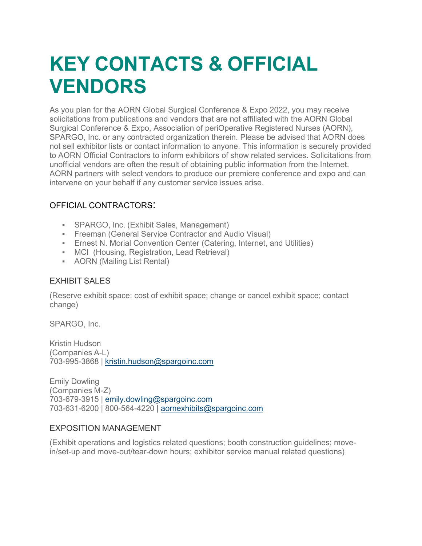# **KEY CONTACTS & OFFICIAL VENDORS**

As you plan for the AORN Global Surgical Conference & Expo 2022, you may receive solicitations from publications and vendors that are not affiliated with the AORN Global Surgical Conference & Expo, Association of periOperative Registered Nurses (AORN), SPARGO, Inc. or any contracted organization therein. Please be advised that AORN does not sell exhibitor lists or contact information to anyone. This information is securely provided to AORN Official Contractors to inform exhibitors of show related services. Solicitations from unofficial vendors are often the result of obtaining public information from the Internet. AORN partners with select vendors to produce our premiere conference and expo and can intervene on your behalf if any customer service issues arise.

# OFFICIAL CONTRACTORS:

- SPARGO, Inc. (Exhibit Sales, Management)
- **Freeman (General Service Contractor and Audio Visual)**
- Ernest N. Morial Convention Center (Catering, Internet, and Utilities)
- MCI (Housing, Registration, Lead Retrieval)
- AORN (Mailing List Rental)

# EXHIBIT SALES

(Reserve exhibit space; cost of exhibit space; change or cancel exhibit space; contact change)

SPARGO, Inc.

Kristin Hudson (Companies A-L) 703-995-3868 | [kristin.hudson@spargoinc.com](mailto:kristin.hudson@spargoinc.com)

Emily Dowling (Companies M-Z) 703-679-3915 | [emily.dowling@spargoinc.com](mailto:emily.dowling@spargoinc.com) 703-631-6200 | 800-564-4220 | [aornexhibits@spargoinc.com](mailto:aornexhibits@spargoinc.com)

# EXPOSITION MANAGEMENT

(Exhibit operations and logistics related questions; booth construction guidelines; movein/set-up and move-out/tear-down hours; exhibitor service manual related questions)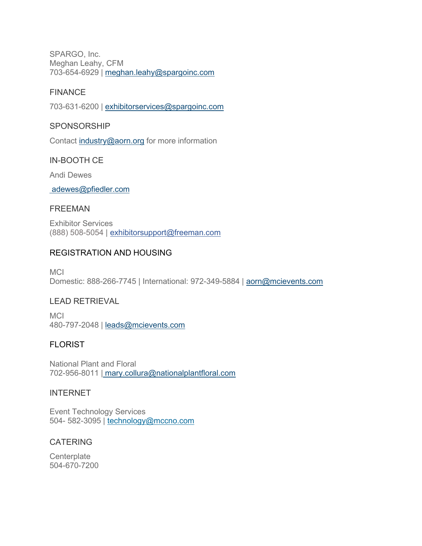SPARGO, Inc. Meghan Leahy, CFM 703-654-6929 | [meghan.leahy@spargoinc.com](mailto:meghan.leahy@spargoinc.com)

## FINANCE

703-631-6200 | [exhibitorservices@spargoinc.com](mailto:exhibitorservices@spargoinc.com)

#### SPONSORSHIP

Contact [industry@aorn.org](mailto:industry@aorn.org) for more information

## IN-BOOTH CE

Andi Dewes

[adewes@pfiedler.com](mailto:adewes@pfiedler.com)

## FREEMAN

Exhibitor Services (888) 508-5054 | [exhibitorsupport@freeman.com](mailto:exhibitorsupport@freeman.com)

# REGISTRATION AND HOUSING

**MCI** Domestic: 888-266-7745 | International: 972-349-5884 | [aorn@mcievents.com](mailto:aorn@mcievents.com)

# LEAD RETRIEVAL

**MCI** 480-797-2048 | [leads@mcievents.com](mailto:leads@mcievents.com)

# **FLORIST**

National Plant and Floral 702-956-8011 | [mary.collura@nationalplantfloral.com](mailto:leigh@conventionflorist.com)

#### INTERNET

Event Technology Services 504- 582-3095 | [technology@mccno.com](mailto:technology@mccno.com)

# CATERING

**Centerplate** 504-670-7200